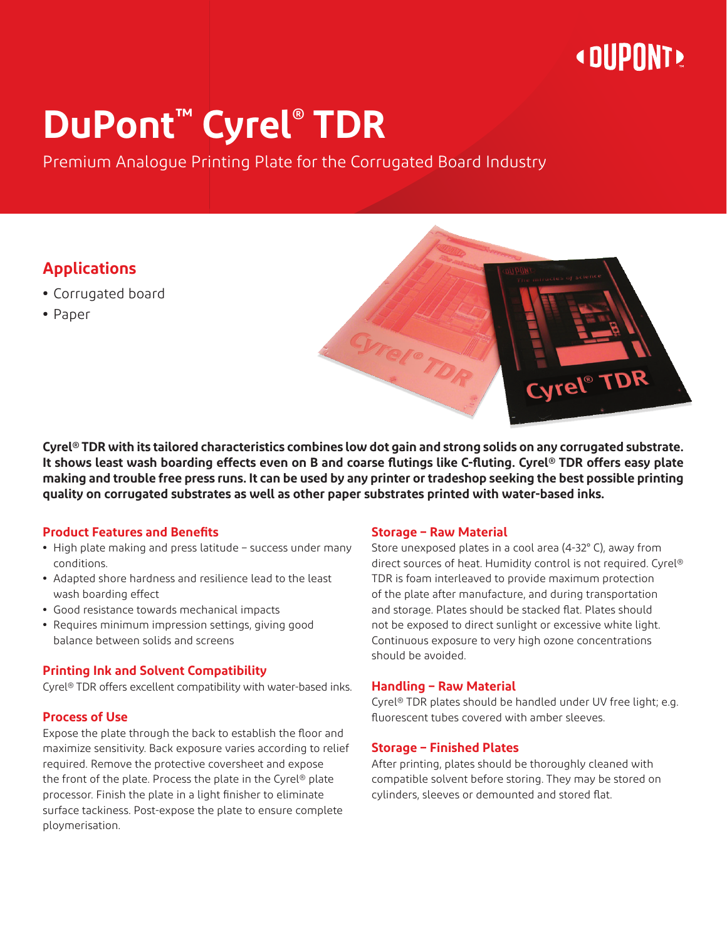## **« DUPONT »**

# **DuPont™ Cyrel® TDR**

Premium Analogue Printing Plate for the Corrugated Board Industry

#### **Applications**

- **•** Corrugated board
- **•** Paper



#### **Product Features and Benefits**

- **•** High plate making and press latitude success under many conditions.
- **•** Adapted shore hardness and resilience lead to the least wash boarding effect
- **•** Good resistance towards mechanical impacts
- **•** Requires minimum impression settings, giving good balance between solids and screens

#### **Printing Ink and Solvent Compatibility**

Cyrel® TDR offers excellent compatibility with water-based inks.

#### **Process of Use**

Expose the plate through the back to establish the floor and maximize sensitivity. Back exposure varies according to relief required. Remove the protective coversheet and expose the front of the plate. Process the plate in the Cyrel® plate processor. Finish the plate in a light finisher to eliminate surface tackiness. Post-expose the plate to ensure complete ploymerisation.

#### **Storage – Raw Material**

Store unexposed plates in a cool area (4-32° C), away from direct sources of heat. Humidity control is not required. Cyrel® TDR is foam interleaved to provide maximum protection of the plate after manufacture, and during transportation and storage. Plates should be stacked flat. Plates should not be exposed to direct sunlight or excessive white light. Continuous exposure to very high ozone concentrations should be avoided.

Cyrel® TDR

#### **Handling – Raw Material**

Cyrel® TDR plates should be handled under UV free light; e.g. fluorescent tubes covered with amber sleeves.

#### **Storage – Finished Plates**

After printing, plates should be thoroughly cleaned with compatible solvent before storing. They may be stored on cylinders, sleeves or demounted and stored flat.